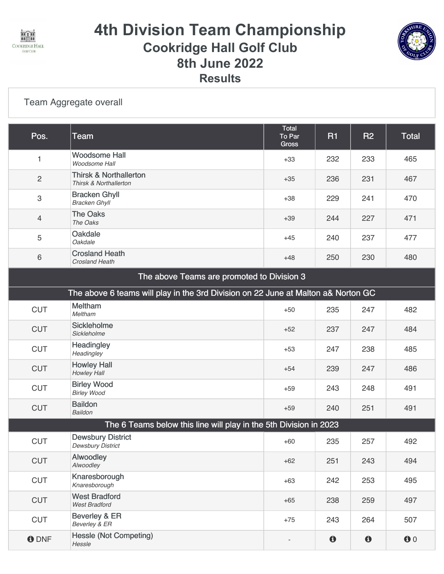

## **4th Division Team Championship Cookridge Hall Golf Club 8th June 2022 Results**



#### [Team Aggregate overall](https://static.golfgenius.com/v2tournaments/8490536711107935068?called_from=&round_index=2)

| Pos.                                                                              | <b>Team</b>                                                       | Total<br>To Par<br>Gross | <b>R1</b>             | <b>R2</b>   | <b>Total</b>              |  |
|-----------------------------------------------------------------------------------|-------------------------------------------------------------------|--------------------------|-----------------------|-------------|---------------------------|--|
| $\mathbf{1}$                                                                      | <b>Woodsome Hall</b><br>Woodsome Hall                             | $+33$                    | 232                   | 233         | 465                       |  |
| $\sqrt{2}$                                                                        | <b>Thirsk &amp; Northallerton</b><br>Thirsk & Northallerton       | $+35$                    | 236                   | 231         | 467                       |  |
| $\mathsf 3$                                                                       | <b>Bracken Ghyll</b><br><b>Bracken Ghyll</b>                      | $+38$                    | 229                   | 241         | 470                       |  |
| $\overline{4}$                                                                    | <b>The Oaks</b><br>The Oaks                                       | $+39$                    | 244                   | 227         | 471                       |  |
| 5                                                                                 | <b>Oakdale</b><br>Oakdale                                         | $+45$                    | 240                   | 237         | 477                       |  |
| $\,6\,$                                                                           | <b>Crosland Heath</b><br><b>Crosland Heath</b>                    | $+48$                    | 250                   | 230         | 480                       |  |
| The above Teams are promoted to Division 3                                        |                                                                   |                          |                       |             |                           |  |
| The above 6 teams will play in the 3rd Division on 22 June at Malton a& Norton GC |                                                                   |                          |                       |             |                           |  |
| <b>CUT</b>                                                                        | Meltham<br>Meltham                                                | $+50$                    | 235                   | 247         | 482                       |  |
| <b>CUT</b>                                                                        | <b>Sickleholme</b><br>Sickleholme                                 | $+52$                    | 237                   | 247         | 484                       |  |
| <b>CUT</b>                                                                        | Headingley<br>Headingley                                          | $+53$                    | 247                   | 238         | 485                       |  |
| <b>CUT</b>                                                                        | <b>Howley Hall</b><br>Howley Hall                                 | $+54$                    | 239                   | 247         | 486                       |  |
| <b>CUT</b>                                                                        | <b>Birley Wood</b><br><b>Birley Wood</b>                          | $+59$                    | 243                   | 248         | 491                       |  |
| <b>CUT</b>                                                                        | <b>Baildon</b><br><b>Baildon</b>                                  | $+59$                    | 240                   | 251         | 491                       |  |
|                                                                                   | The 6 Teams below this line will play in the 5th Division in 2023 |                          |                       |             |                           |  |
| <b>CUT</b>                                                                        | <b>Dewsbury District</b><br><b>Dewsbury District</b>              | $+60$                    | 235                   | 257         | 492                       |  |
| <b>CUT</b>                                                                        | Alwoodley<br>Alwoodley                                            | $+62$                    | 251                   | 243         | 494                       |  |
| <b>CUT</b>                                                                        | Knaresborough<br>Knaresborough                                    | $+63$                    | 242                   | 253         | 495                       |  |
| <b>CUT</b>                                                                        | <b>West Bradford</b><br><b>West Bradford</b>                      | $+65$                    | 238                   | 259         | 497                       |  |
| <b>CUT</b>                                                                        | Beverley & ER<br>Beverley & ER                                    | $+75$                    | 243                   | 264         | 507                       |  |
| <b>ODNF</b>                                                                       | <b>Hessle (Not Competing)</b><br>Hessle                           |                          | $\boldsymbol{\theta}$ | $\mathbf 0$ | $\mathbf{0}$ <sup>0</sup> |  |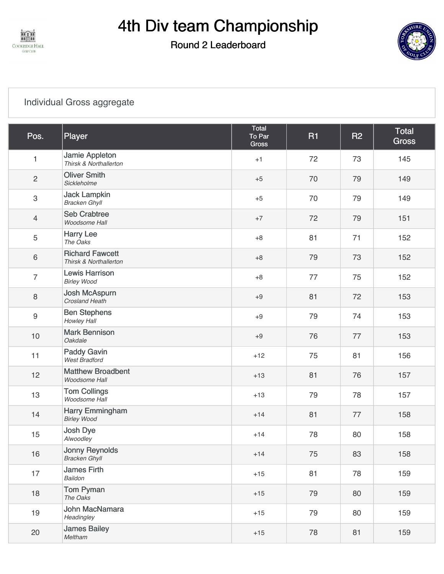

# 4th Div team Championship

### Round 2 Leaderboard



#### [Individual Gross aggregate](https://static.golfgenius.com/v2tournaments/8183737330406816428?called_from=&round_index=2)

| Pos.                      | Player                                           | Total<br>To Par<br><b>Gross</b> | <b>R1</b> | <b>R2</b> | <b>Total</b><br><b>Gross</b> |
|---------------------------|--------------------------------------------------|---------------------------------|-----------|-----------|------------------------------|
| 1                         | Jamie Appleton<br>Thirsk & Northallerton         | $+1$                            | 72        | 73        | 145                          |
| $\sqrt{2}$                | <b>Oliver Smith</b><br>Sickleholme               | $+5$                            | 70        | 79        | 149                          |
| $\ensuremath{\mathsf{3}}$ | <b>Jack Lampkin</b><br><b>Bracken Ghyll</b>      | $+5$                            | 70        | 79        | 149                          |
| $\overline{4}$            | <b>Seb Crabtree</b><br>Woodsome Hall             | $+7$                            | 72        | 79        | 151                          |
| 5                         | <b>Harry Lee</b><br>The Oaks                     | $+8$                            | 81        | 71        | 152                          |
| 6                         | <b>Richard Fawcett</b><br>Thirsk & Northallerton | $+8$                            | 79        | 73        | 152                          |
| $\overline{7}$            | <b>Lewis Harrison</b><br><b>Birley Wood</b>      | $+8$                            | 77        | 75        | 152                          |
| $\,8\,$                   | Josh McAspurn<br><b>Crosland Heath</b>           | $+9$                            | 81        | 72        | 153                          |
| $9\,$                     | <b>Ben Stephens</b><br>Howley Hall               | $+9$                            | 79        | 74        | 153                          |
| 10                        | <b>Mark Bennison</b><br>Oakdale                  | $+9$                            | 76        | 77        | 153                          |
| 11                        | <b>Paddy Gavin</b><br><b>West Bradford</b>       | $+12$                           | 75        | 81        | 156                          |
| 12                        | <b>Matthew Broadbent</b><br>Woodsome Hall        | $+13$                           | 81        | 76        | 157                          |
| 13                        | <b>Tom Collings</b><br>Woodsome Hall             | $+13$                           | 79        | 78        | 157                          |
| 14                        | Harry Emmingham<br><b>Birley Wood</b>            | $+14$                           | 81        | 77        | 158                          |
| 15                        | Josh Dye<br>Alwoodley                            | $+14$                           | 78        | 80        | 158                          |
| 16                        | <b>Jonny Reynolds</b><br><b>Bracken Ghyll</b>    | $+14$                           | 75        | 83        | 158                          |
| 17                        | James Firth<br>Baildon                           | $+15$                           | 81        | 78        | 159                          |
| 18                        | <b>Tom Pyman</b><br>The Oaks                     | $+15$                           | 79        | 80        | 159                          |
| 19                        | John MacNamara<br>Headingley                     | $+15$                           | 79        | 80        | 159                          |
| 20                        | <b>James Bailey</b><br>Meltham                   | $+15$                           | 78        | 81        | 159                          |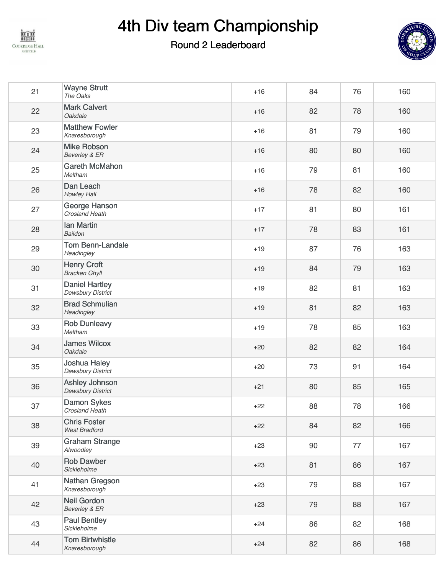

# 4th Div team Championship

### Round 2 Leaderboard



| 21 | <b>Wayne Strutt</b><br>The Oaks                   | $+16$ | 84 | 76 | 160 |
|----|---------------------------------------------------|-------|----|----|-----|
| 22 | <b>Mark Calvert</b><br>Oakdale                    | $+16$ | 82 | 78 | 160 |
| 23 | <b>Matthew Fowler</b><br>Knaresborough            | $+16$ | 81 | 79 | 160 |
| 24 | <b>Mike Robson</b><br>Beverley & ER               | $+16$ | 80 | 80 | 160 |
| 25 | <b>Gareth McMahon</b><br>Meltham                  | $+16$ | 79 | 81 | 160 |
| 26 | Dan Leach<br>Howley Hall                          | $+16$ | 78 | 82 | 160 |
| 27 | George Hanson<br><b>Crosland Heath</b>            | $+17$ | 81 | 80 | 161 |
| 28 | <b>Ian Martin</b><br>Baildon                      | $+17$ | 78 | 83 | 161 |
| 29 | <b>Tom Benn-Landale</b><br>Headingley             | $+19$ | 87 | 76 | 163 |
| 30 | <b>Henry Croft</b><br><b>Bracken Ghyll</b>        | $+19$ | 84 | 79 | 163 |
| 31 | <b>Daniel Hartley</b><br><b>Dewsbury District</b> | $+19$ | 82 | 81 | 163 |
| 32 | <b>Brad Schmulian</b><br>Headingley               | $+19$ | 81 | 82 | 163 |
| 33 | <b>Rob Dunleavy</b><br>Meltham                    | $+19$ | 78 | 85 | 163 |
| 34 | <b>James Wilcox</b><br>Oakdale                    | $+20$ | 82 | 82 | 164 |
| 35 | Joshua Haley<br><b>Dewsbury District</b>          | $+20$ | 73 | 91 | 164 |
| 36 | Ashley Johnson<br><b>Dewsbury District</b>        | $+21$ | 80 | 85 | 165 |
| 37 | <b>Damon Sykes</b><br>Crosland Heath              | $+22$ | 88 | 78 | 166 |
| 38 | <b>Chris Foster</b><br><b>West Bradford</b>       | $+22$ | 84 | 82 | 166 |
| 39 | <b>Graham Strange</b><br>Alwoodley                | $+23$ | 90 | 77 | 167 |
| 40 | <b>Rob Dawber</b><br>Sickleholme                  | $+23$ | 81 | 86 | 167 |
| 41 | Nathan Gregson<br>Knaresborough                   | $+23$ | 79 | 88 | 167 |
| 42 | <b>Neil Gordon</b><br>Beverley & ER               | $+23$ | 79 | 88 | 167 |
| 43 | <b>Paul Bentley</b><br>Sickleholme                | $+24$ | 86 | 82 | 168 |
| 44 | <b>Tom Birtwhistle</b><br>Knaresborough           | $+24$ | 82 | 86 | 168 |